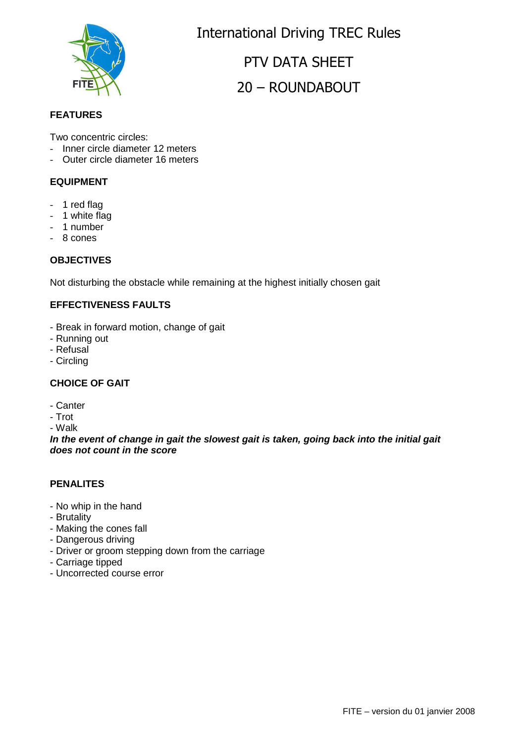

International Driving TREC Rules

# PTV DATA SHEET 20 – ROUNDABOUT

# **FEATURES**

Two concentric circles:

- Inner circle diameter 12 meters
- Outer circle diameter 16 meters

#### **EQUIPMENT**

- 1 red flag
- 1 white flag
- 1 number
- 8 cones

## **OBJECTIVES**

Not disturbing the obstacle while remaining at the highest initially chosen gait

# **EFFECTIVENESS FAULTS**

- Break in forward motion, change of gait
- Running out
- Refusal
- Circling

## **CHOICE OF GAIT**

- Canter
- Trot
- Walk

**In the event of change in gait the slowest gait is taken, going back into the initial gait does not count in the score**

## **PENALITES**

- No whip in the hand
- Brutality
- Making the cones fall
- Dangerous driving
- Driver or groom stepping down from the carriage
- Carriage tipped
- Uncorrected course error